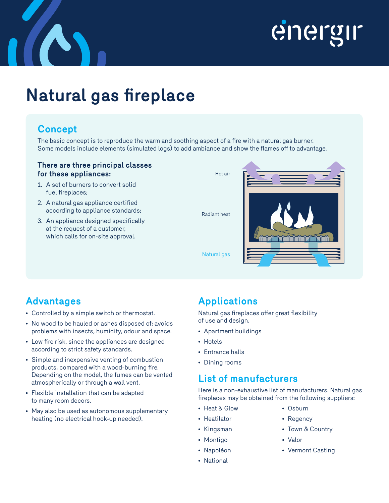

## energir

### **Natural gas fireplace**

#### **Concept**

The basic concept is to reproduce the warm and soothing aspect of a fire with a natural gas burner. Some models include elements (simulated logs) to add ambiance and show the flames off to advantage.

#### **There are three principal classes for these appliances:**

- 1. A set of burners to convert solid fuel fireplaces;
- 2. A natural gas appliance certified according to appliance standards;
- 3. An appliance designed specifically at the request of a customer, which calls for on-site approval.



### **Advantages**

- Controlled by a simple switch or thermostat.
- No wood to be hauled or ashes disposed of; avoids problems with insects, humidity, odour and space.
- Low fire risk, since the appliances are designed according to strict safety standards.
- Simple and inexpensive venting of combustion products, compared with a wood-burning fire. Depending on the model, the fumes can be vented atmospherically or through a wall vent.
- Flexible installation that can be adapted to many room decors.
- May also be used as autonomous supplementary heating (no electrical hook-up needed).

#### **Applications**

Natural gas fireplaces offer great flexibility of use and design.

- Apartment buildings
- Hotels
- Entrance halls
- Dining rooms

#### **List of manufacturers**

Here is a non-exhaustive list of manufacturers. Natural gas fireplaces may be obtained from the following suppliers:

- Heat & Glow
- Heatilator
- Osburn
- Kingsman
- Montigo
- Napoléon
- National
- Regency
- Town & Country
- Valor
- Vermont Casting